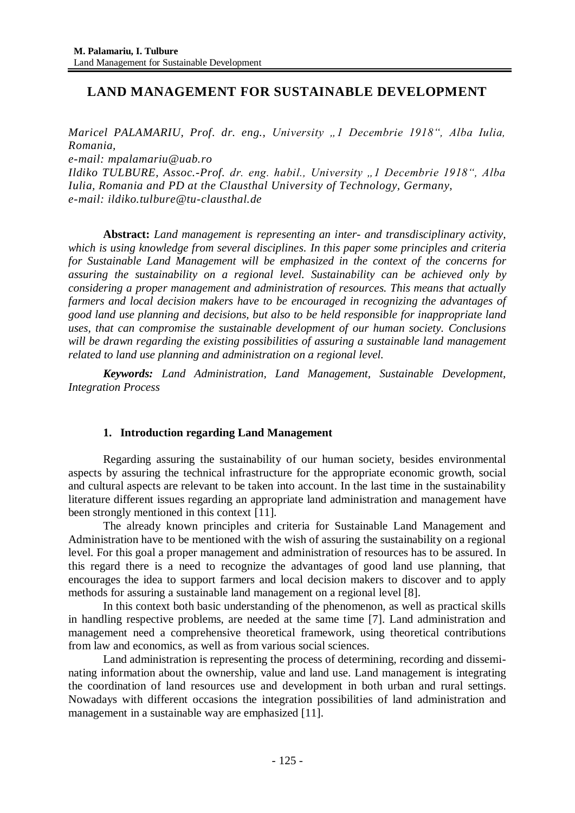# **LAND MANAGEMENT FOR SUSTAINABLE DEVELOPMENT**

*Maricel PALAMARIU, Prof. dr. eng., University "1 Decembrie 1918", Alba Iulia, Romania,* 

*e-mail: [mpalamariu@uab.ro](mailto:mpalamariu@uab.ro;%20%20palamarium@yahoo.fr)*

*Ildiko TULBURE, Assoc.-Prof. dr. eng. habil., University "1 Decembrie 1918", Alba Iulia, Romania and PD at the Clausthal University of Technology, Germany, e-mail: ildiko.tulbure@tu-clausthal.de*

**Abstract:** *Land management is representing an inter- and transdisciplinary activity, which is using knowledge from several disciplines. In this paper some principles and criteria for Sustainable Land Management will be emphasized in the context of the concerns for assuring the sustainability on a regional level. Sustainability can be achieved only by considering a proper management and administration of resources. This means that actually farmers and local decision makers have to be encouraged in recognizing the advantages of good land use planning and decisions, but also to be held responsible for inappropriate land uses, that can compromise the sustainable development of our human society. Conclusions will be drawn regarding the existing possibilities of assuring a sustainable land management related to land use planning and administration on a regional level.* 

*Keywords: Land Administration, Land Management, Sustainable Development, Integration Process*

## **1. Introduction regarding Land Management**

Regarding assuring the sustainability of our human society, besides environmental aspects by assuring the technical infrastructure for the appropriate economic growth, social and cultural aspects are relevant to be taken into account. In the last time in the sustainability literature different issues regarding an appropriate land administration and management have been strongly mentioned in this context [11].

The already known principles and criteria for Sustainable Land Management and Administration have to be mentioned with the wish of assuring the sustainability on a regional level. For this goal a proper management and administration of resources has to be assured. In this regard there is a need to recognize the advantages of good land use planning, that encourages the idea to support farmers and local decision makers to discover and to apply methods for assuring a sustainable land management on a regional level [8].

In this context both basic understanding of the phenomenon, as well as practical skills in handling respective problems, are needed at the same time [7]. Land administration and management need a comprehensive theoretical framework, using theoretical contributions from law and economics, as well as from various social sciences.

Land administration is representing the process of determining, recording and disseminating information about the ownership, value and land use. Land management is integrating the coordination of land resources [use](https://en.wikipedia.org/wiki/Land_use) and [development](https://en.wikipedia.org/wiki/Land_development) in both [urban](https://en.wikipedia.org/wiki/Urban_planning) and [rural](https://en.wikipedia.org/wiki/Rural) settings. Nowadays with different occasions the integration possibilities of land administration and management in a sustainable way are emphasized [11].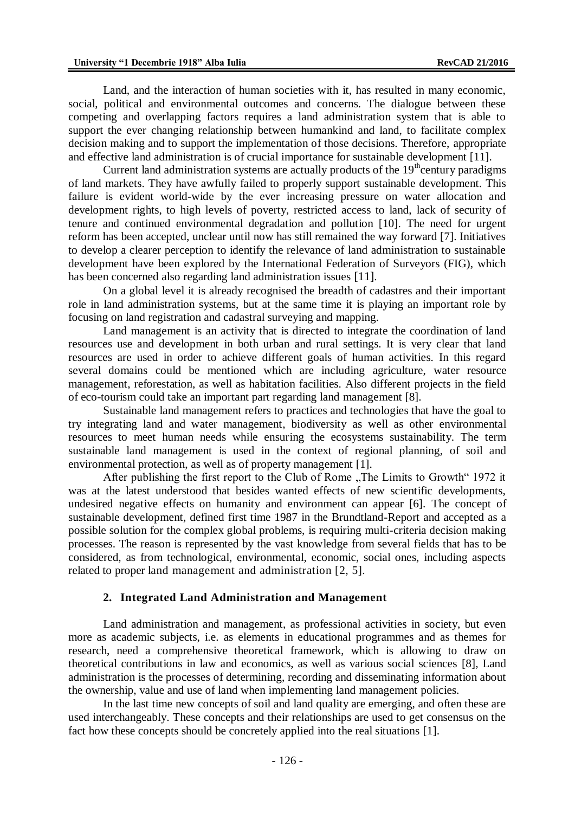Land, and the interaction of human societies with it, has resulted in many economic, social, political and environmental outcomes and concerns. The dialogue between these competing and overlapping factors requires a land administration system that is able to support the ever changing relationship between humankind and land, to facilitate complex decision making and to support the implementation of those decisions. Therefore, appropriate and effective land administration is of crucial importance for sustainable development [11].

Current land administration systems are actually products of the  $19<sup>th</sup>$ century paradigms of land markets. They have awfully failed to properly support sustainable development. This failure is evident world-wide by the ever increasing pressure on water allocation and development rights, to high levels of poverty, restricted access to land, lack of security of tenure and continued environmental degradation and pollution [10]. The need for urgent reform has been accepted, unclear until now has still remained the way forward [7]. Initiatives to develop a clearer perception to identify the relevance of land administration to sustainable development have been explored by the International Federation of Surveyors (FIG), which has been concerned also regarding land administration issues [11].

On a global level it is already recognised the breadth of cadastres and their important role in land administration systems, but at the same time it is playing an important role by focusing on land registration and cadastral surveying and mapping.

Land management is an activity that is directed to integrate the coordination of land resources [use](https://en.wikipedia.org/wiki/Land_use) and [development](https://en.wikipedia.org/wiki/Land_development) in both [urban](https://en.wikipedia.org/wiki/Urban_planning) and [rural](https://en.wikipedia.org/wiki/Rural) settings. It is very clear that land resources are used in order to achieve different goals of human activities. In this regard several domains could be mentioned which are including [agriculture,](https://en.wikipedia.org/wiki/Organic_agriculture) [water resource](https://en.wikipedia.org/wiki/Water_resource_management)  [management,](https://en.wikipedia.org/wiki/Water_resource_management) [reforestation,](https://en.wikipedia.org/wiki/Reforestation) as well as habitation facilities. Also different projects in the field of [eco-tourism](https://en.wikipedia.org/wiki/Eco-tourism) could take an important part regarding land management [8].

Sustainable land management refers to practices and technologies that have the goal to try integrating land and water managemen[t,](https://en.wikipedia.org/wiki/Land_management) [biodiversity](https://en.wikipedia.org/wiki/Biodiversity) as well as other [environmental](https://en.wikipedia.org/wiki/Environmental_resource_management)  [resources](https://en.wikipedia.org/wiki/Environmental_resource_management) to meet human needs while ensuring the ecosystems [sustainability.](https://en.wikipedia.org/wiki/Sustainability) The term sustainable land management is used in the context of [regional planning,](https://en.wikipedia.org/wiki/Regional_planning) of [soil](https://en.wikipedia.org/wiki/Soil) and [environmental protection,](https://en.wikipedia.org/wiki/Environmental_protection) as well as of property management [1].

After publishing the first report to the Club of Rome "The Limits to Growth" 1972 it was at the latest understood that besides wanted effects of new scientific developments, undesired negative effects on humanity and environment can appear [6]. The concept of sustainable development, defined first time 1987 in the Brundtland-Report and accepted as a possible solution for the complex global problems, is requiring multi-criteria decision making processes. The reason is represented by the vast knowledge from several fields that has to be considered, as from technological, environmental, economic, social ones, including aspects related to proper land management and administration [2, 5].

#### **2. Integrated Land Administration and Management**

Land administration and management, as professional activities in society, but even more as academic subjects, i.e. as elements in educational programmes and as themes for research, need a comprehensive theoretical framework, which is allowing to draw on theoretical contributions in law and economics, as well as various social sciences [8], Land administration is the processes of determining, recording and disseminating information about the ownership, value and use of land when implementing land management policies.

In the last time new concepts of soil and land quality are emerging, and often these are used interchangeably. These concepts and their relationships are used to get consensus on the fact how these concepts should be concretely applied into the real situations [1].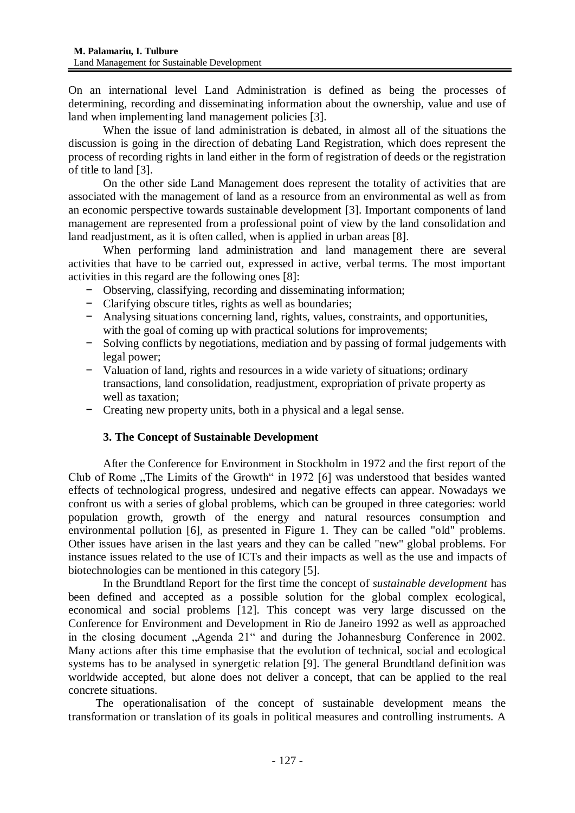On an international level Land Administration is defined as being the processes of determining, recording and disseminating information about the ownership, value and use of land when implementing land management policies [3].

When the issue of land administration is debated, in almost all of the situations the discussion is going in the direction of debating Land Registration, which does represent the process of recording rights in land either in the form of registration of deeds or the registration of title to land [3].

On the other side Land Management does represent the totality of activities that are associated with the management of land as a resource from an environmental as well as from an economic perspective towards sustainable development [3]. Important components of land management are represented from a professional point of view by the land consolidation and land readjustment, as it is often called, when is applied in urban areas [8].

When performing land administration and land management there are several activities that have to be carried out, expressed in active, verbal terms. The most important activities in this regard are the following ones [8]:

- − Observing, classifying, recording and disseminating information;
- − Clarifying obscure titles, rights as well as boundaries;
- − Analysing situations concerning land, rights, values, constraints, and opportunities, with the goal of coming up with practical solutions for improvements;
- − Solving conflicts by negotiations, mediation and by passing of formal judgements with legal power;
- − Valuation of land, rights and resources in a wide variety of situations; ordinary transactions, land consolidation, readjustment, expropriation of private property as well as taxation;
- − Creating new property units, both in a physical and a legal sense.

## **3. The Concept of Sustainable Development**

After the Conference for Environment in Stockholm in 1972 and the first report of the Club of Rome "The Limits of the Growth" in 1972 [6] was understood that besides wanted effects of technological progress, undesired and negative effects can appear. Nowadays we confront us with a series of global problems, which can be grouped in three categories: world population growth, growth of the energy and natural resources consumption and environmental pollution [6], as presented in Figure 1. They can be called "old" problems. Other issues have arisen in the last years and they can be called "new" global problems. For instance issues related to the use of ICTs and their impacts as well as the use and impacts of biotechnologies can be mentioned in this category [5].

In the Brundtland Report for the first time the concept of *sustainable development* has been defined and accepted as a possible solution for the global complex ecological, economical and social problems [12]. This concept was very large discussed on the Conference for Environment and Development in Rio de Janeiro 1992 as well as approached in the closing document "Agenda 21" and during the Johannesburg Conference in 2002. Many actions after this time emphasise that the evolution of technical, social and ecological systems has to be analysed in synergetic relation [9]. The general Brundtland definition was worldwide accepted, but alone does not deliver a concept, that can be applied to the real concrete situations.

The operationalisation of the concept of sustainable development means the transformation or translation of its goals in political measures and controlling instruments. A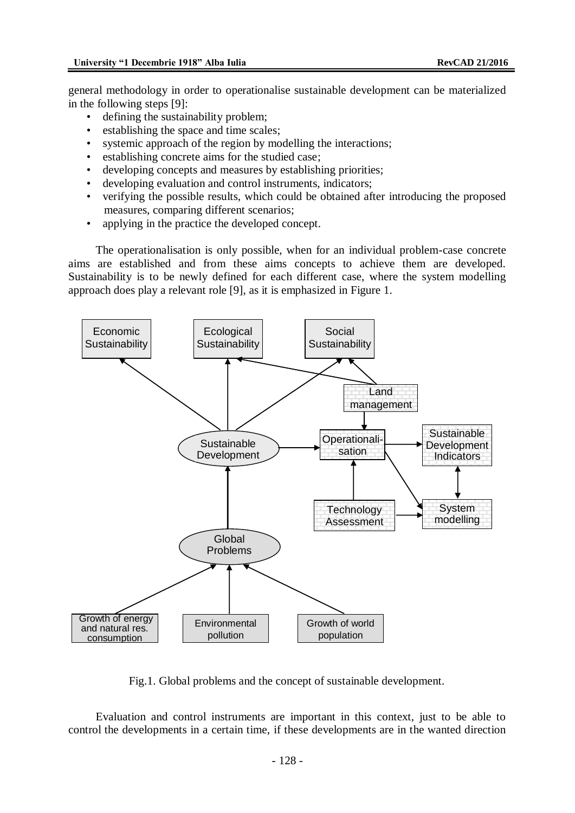general methodology in order to operationalise sustainable development can be materialized in the following steps [9]:

- defining the sustainability problem;
- establishing the space and time scales;
- systemic approach of the region by modelling the interactions:
- establishing concrete aims for the studied case;
- developing concepts and measures by establishing priorities;
- developing evaluation and control instruments, indicators;
- verifying the possible results, which could be obtained after introducing the proposed measures, comparing different scenarios;
- applying in the practice the developed concept.

The operationalisation is only possible, when for an individual problem-case concrete aims are established and from these aims concepts to achieve them are developed. Sustainability is to be newly defined for each different case, where the system modelling approach does play a relevant role [9], as it is emphasized in Figure 1.



Fig.1. Global problems and the concept of sustainable development.

Evaluation and control instruments are important in this context, just to be able to control the developments in a certain time, if these developments are in the wanted direction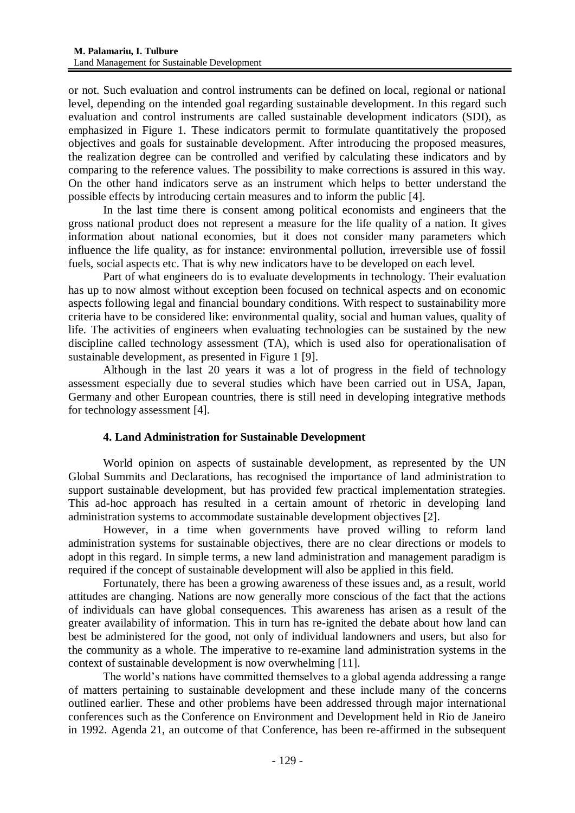or not. Such evaluation and control instruments can be defined on local, regional or national level, depending on the intended goal regarding sustainable development. In this regard such evaluation and control instruments are called sustainable development indicators (SDI), as emphasized in Figure 1. These indicators permit to formulate quantitatively the proposed objectives and goals for sustainable development. After introducing the proposed measures, the realization degree can be controlled and verified by calculating these indicators and by comparing to the reference values. The possibility to make corrections is assured in this way. On the other hand indicators serve as an instrument which helps to better understand the possible effects by introducing certain measures and to inform the public [4].

In the last time there is consent among political economists and engineers that the gross national product does not represent a measure for the life quality of a nation. It gives information about national economies, but it does not consider many parameters which influence the life quality, as for instance: environmental pollution, irreversible use of fossil fuels, social aspects etc. That is why new indicators have to be developed on each level.

Part of what engineers do is to evaluate developments in technology. Their evaluation has up to now almost without exception been focused on technical aspects and on economic aspects following legal and financial boundary conditions. With respect to sustainability more criteria have to be considered like: environmental quality, social and human values, quality of life. The activities of engineers when evaluating technologies can be sustained by the new discipline called technology assessment (TA), which is used also for operationalisation of sustainable development, as presented in Figure 1 [9].

Although in the last 20 years it was a lot of progress in the field of technology assessment especially due to several studies which have been carried out in USA, Japan, Germany and other European countries, there is still need in developing integrative methods for technology assessment [4].

## **4. Land Administration for Sustainable Development**

World opinion on aspects of sustainable development, as represented by the UN Global Summits and Declarations, has recognised the importance of land administration to support sustainable development, but has provided few practical implementation strategies. This ad-hoc approach has resulted in a certain amount of rhetoric in developing land administration systems to accommodate sustainable development objectives [2].

However, in a time when governments have proved willing to reform land administration systems for sustainable objectives, there are no clear directions or models to adopt in this regard. In simple terms, a new land administration and management paradigm is required if the concept of sustainable development will also be applied in this field.

Fortunately, there has been a growing awareness of these issues and, as a result, world attitudes are changing. Nations are now generally more conscious of the fact that the actions of individuals can have global consequences. This awareness has arisen as a result of the greater availability of information. This in turn has re-ignited the debate about how land can best be administered for the good, not only of individual landowners and users, but also for the community as a whole. The imperative to re-examine land administration systems in the context of sustainable development is now overwhelming [11].

The world's nations have committed themselves to a global agenda addressing a range of matters pertaining to sustainable development and these include many of the concerns outlined earlier. These and other problems have been addressed through major international conferences such as the Conference on Environment and Development held in Rio de Janeiro in 1992. Agenda 21, an outcome of that Conference, has been re-affirmed in the subsequent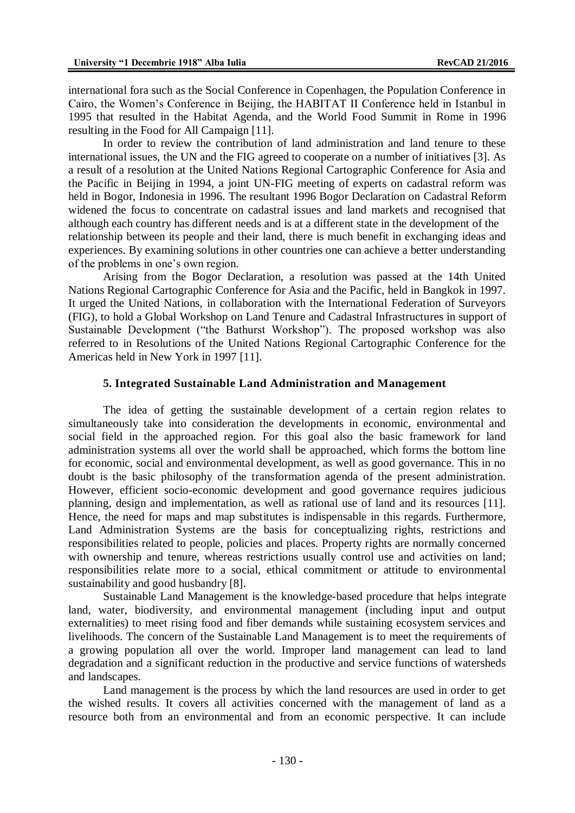international fora such as the Social Conference in Copenhagen, the Population Conference in Cairo, the Women's Conference in Beijing, the HABITAT II Conference held in Istanbul in 1995 that resulted in the Habitat Agenda, and the World Food Summit in Rome in 1996 resulting in the Food for All Campaign [11].

In order to review the contribution of land administration and land tenure to these international issues, the UN and the FIG agreed to cooperate on a number of initiatives [3]. As a result of a resolution at the United Nations Regional Cartographic Conference for Asia and the Pacific in Beijing in 1994, a joint UN-FIG meeting of experts on cadastral reform was held in Bogor, Indonesia in 1996. The resultant 1996 Bogor Declaration on Cadastral Reform widened the focus to concentrate on cadastral issues and land markets and recognised that although each country has different needs and is at a different state in the development of the relationship between its people and their land, there is much benefit in exchanging ideas and experiences. By examining solutions in other countries one can achieve a better understanding of the problems in one's own region.

Arising from the Bogor Declaration, a resolution was passed at the 14th United Nations Regional Cartographic Conference for Asia and the Pacific, held in Bangkok in 1997. It urged the United Nations, in collaboration with the International Federation of Surveyors (FIG), to hold a Global Workshop on Land Tenure and Cadastral Infrastructures in support of Sustainable Development ("the Bathurst Workshop"). The proposed workshop was also referred to in Resolutions of the United Nations Regional Cartographic Conference for the Americas held in New York in 1997 [11].

#### **5. Integrated Sustainable Land Administration and Management**

The idea of getting the sustainable development of a certain region relates to simultaneously take into consideration the developments in economic, environmental and social field in the approached region. For this goal also the basic framework for land administration systems all over the world shall be approached, which forms the bottom line for economic, social and environmental development, as well as good governance. This in no doubt is the basic philosophy of the transformation agenda of the present administration. However, efficient socio-economic development and good governance requires judicious planning, design and implementation, as well as rational use of land and its resources [11]. Hence, the need for maps and map substitutes is indispensable in this regards. Furthermore, Land Administration Systems are the basis for conceptualizing rights, restrictions and responsibilities related to people, policies and places. Property rights are normally concerned with ownership and tenure, whereas restrictions usually control use and activities on land; responsibilities relate more to a social, ethical commitment or attitude to environmental sustainability and good husbandry [8].

Sustainable Land Management is the knowledge-based procedure that helps integrate land, water, biodiversity, and environmental management (including input and output externalities) to meet rising food and fiber demands while sustaining ecosystem services and livelihoods. The concern of the Sustainable Land Management is to meet the requirements of a growing population all over the world. Improper land management can lead to [land](https://en.wikipedia.org/wiki/Land_degradation)  [degradation](https://en.wikipedia.org/wiki/Land_degradation) and a significant reduction in the productive and service functions of watersheds and landscapes.

Land management is the process by which the land resources are used in order to get the wished results. It covers all activities concerned with the management of land as a resource both from an environmental and from an economic perspective. It can include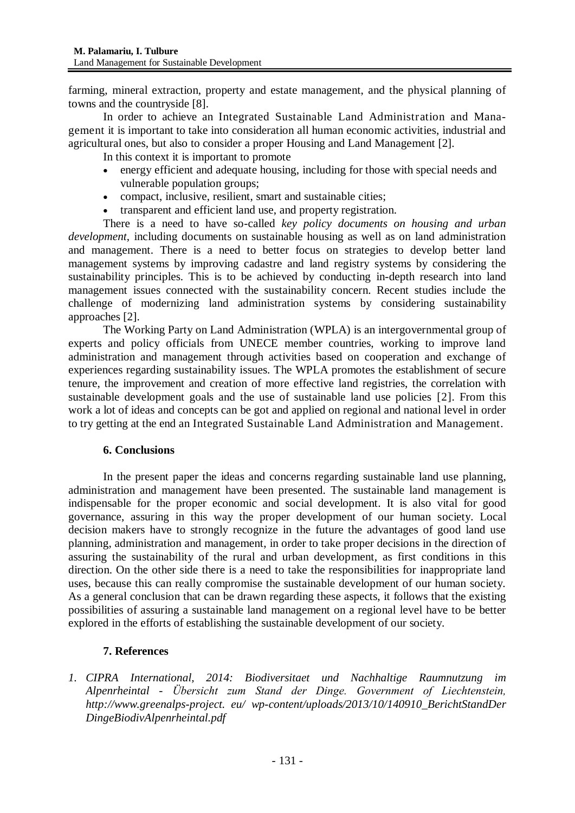farming, mineral extraction, property and estate management, and the physical planning of towns and the countryside [8].

In order to achieve an Integrated Sustainable Land Administration and Management it is important to take into consideration all human economic activities, industrial and agricultural ones, but also to consider a proper Housing and Land Management [2].

In this context it is important to promote

- energy efficient and adequate housing, including for those with special needs and vulnerable population groups;
- compact, inclusive, resilient, smart and sustainable cities;
- transparent and efficient land use, and property registration.

There is a need to have so-called *key policy documents on housing and urban development*, including documents on sustainable housing as well as on land administration and management. There is a need to better focus on strategies to develop better land management systems by improving cadastre and land registry systems by considering the sustainability principles. This is to be achieved by conducting in-depth research into land management issues connected with the sustainability concern. Recent studies include the [challenge of m](http://www.unece.org/housing-and-land-management/housingpublications/housing-and-land-management-hlm/2015/formalizing-the-informal/doc.html)odernizing [land administration systems](http://www.unece.org/housing-and-land-management/housingpublications/housing-and-land-management-hlm/2014/survey-on-land-administration-systems/doc.html) by considering sustainability approaches [2].

The Working Party on Land Administration (WPLA) is an intergovernmental group of experts and policy officials from UNECE member countries, working to improve land administration and management through activities based on cooperation and exchange of experiences regarding sustainability issues. The WPLA promotes the establishment of secure tenure, the improvement and creation of more effective land registries, the correlation with sustainable development goals and the use of sustainable land use policies [2]. From this work a lot of ideas and concepts can be got and applied on regional and national level in order to try getting at the end an Integrated Sustainable Land Administration and Management.

#### **6. Conclusions**

In the present paper the ideas and concerns regarding sustainable land use planning, administration and management have been presented. The sustainable land management is indispensable for the proper economic and social development. It is also vital for good governance, assuring in this way the proper development of our human society. Local decision makers have to strongly recognize in the future the advantages of good land use planning, administration and management, in order to take proper decisions in the direction of assuring the sustainability of the rural and urban development, as first conditions in this direction. On the other side there is a need to take the responsibilities for inappropriate land uses, because this can really compromise the sustainable development of our human society. As a general conclusion that can be drawn regarding these aspects, it follows that the existing possibilities of assuring a sustainable land management on a regional level have to be better explored in the efforts of establishing the sustainable development of our society.

## **7. References**

*1. CIPRA International, 2014: Biodiversitaet und Nachhaltige Raumnutzung im Alpenrheintal - Übersicht zum Stand der Dinge. Government of Liechtenstein, [http://www.greenalps-project.](http://www.greenalps-project/) eu/ wp-content/uploads/2013/10/140910\_BerichtStandDer DingeBiodivAlpenrheintal.pdf*